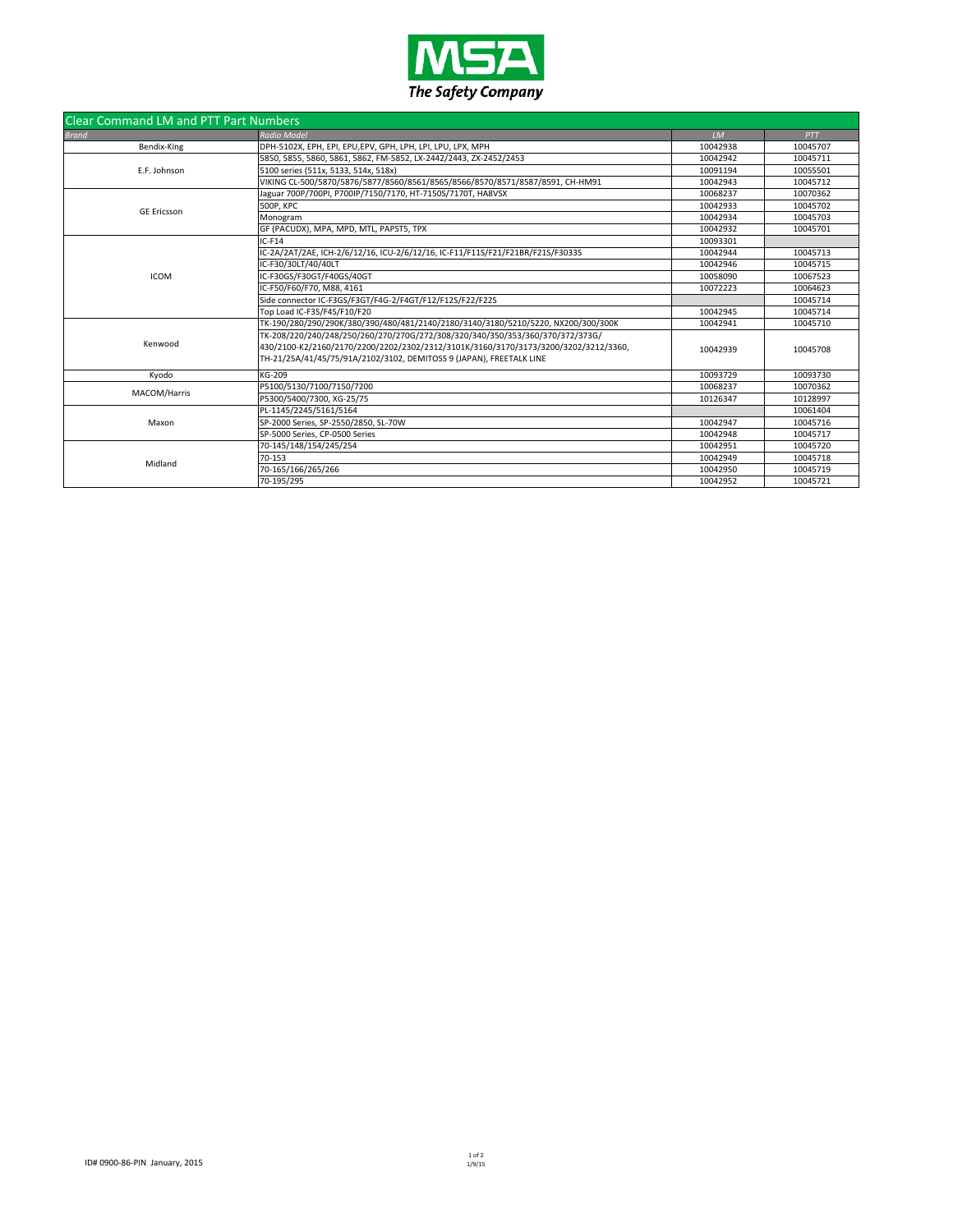

| <b>Clear Command LM and PTT Part Numbers</b> |                                                                                     |          |          |  |
|----------------------------------------------|-------------------------------------------------------------------------------------|----------|----------|--|
| <b>Brand</b>                                 | <b>Radio Model</b>                                                                  | LM       | PTT      |  |
| Bendix-King                                  | DPH-5102X, EPH, EPI, EPU,EPV, GPH, LPH, LPI, LPU, LPX, MPH                          | 10042938 | 10045707 |  |
| E.F. Johnson                                 | 5850, 5855, 5860, 5861, 5862, FM-5852, LX-2442/2443, ZX-2452/2453                   | 10042942 | 10045711 |  |
|                                              | 5100 series (511x, 5133, 514x, 518x)                                                | 10091194 | 10055501 |  |
|                                              | VIKING CL-500/5870/5876/5877/8560/8561/8565/8566/8570/8571/8587/8591, CH-HM91       | 10042943 | 10045712 |  |
| <b>GE Ericsson</b>                           | Jaguar 700P/700PI, P700IP/7150/7170, HT-7150S/7170T, HA8VSX                         | 10068237 | 10070362 |  |
|                                              | <b>500P, KPC</b>                                                                    | 10042933 | 10045702 |  |
|                                              | Monogram                                                                            | 10042934 | 10045703 |  |
|                                              | GF (PACUDX), MPA, MPD, MTL, PAPST5, TPX                                             | 10042932 | 10045701 |  |
|                                              | $IC-F14$                                                                            | 10093301 |          |  |
|                                              | IC-2A/2AT/2AE, ICH-2/6/12/16, ICU-2/6/12/16, IC-F11/F11S/F21/F21BR/F21S/F3033S      | 10042944 | 10045713 |  |
|                                              | IC-F30/30LT/40/40LT                                                                 | 10042946 | 10045715 |  |
| <b>ICOM</b>                                  | IC-F30GS/F30GT/F40GS/40GT                                                           | 10058090 | 10067523 |  |
|                                              | IC-F50/F60/F70, M88, 4161                                                           | 10072223 | 10064623 |  |
|                                              | Side connector IC-F3GS/F3GT/F4G-2/F4GT/F12/F12S/F22/F22S                            |          | 10045714 |  |
|                                              | Top Load IC-F3S/F4S/F10/F20                                                         | 10042945 | 10045714 |  |
| Kenwood                                      | TK-190/280/290/290K/380/390/480/481/2140/2180/3140/3180/5210/5220, NX200/300/300K   | 10042941 | 10045710 |  |
|                                              | TK-208/220/240/248/250/260/270/270G/272/308/320/340/350/353/360/370/372/373G/       |          |          |  |
|                                              | 430/2100-K2/2160/2170/2200/2202/2302/2312/3101K/3160/3170/3173/3200/3202/3212/3360, | 10042939 | 10045708 |  |
|                                              | TH-21/25A/41/45/75/91A/2102/3102, DEMITOSS 9 (JAPAN), FREETALK LINE                 |          |          |  |
| Kvodo                                        | KG-209                                                                              | 10093729 | 10093730 |  |
| MACOM/Harris                                 | P5100/5130/7100/7150/7200                                                           | 10068237 | 10070362 |  |
|                                              | P5300/5400/7300, XG-25/75                                                           | 10126347 | 10128997 |  |
| Maxon                                        | PL-1145/2245/5161/5164                                                              |          | 10061404 |  |
|                                              | SP-2000 Series, SP-2550/2850, SL-70W                                                | 10042947 | 10045716 |  |
|                                              | SP-5000 Series. CP-0500 Series                                                      | 10042948 | 10045717 |  |
| Midland                                      | 70-145/148/154/245/254                                                              | 10042951 | 10045720 |  |
|                                              | 70-153                                                                              | 10042949 | 10045718 |  |
|                                              | 70-165/166/265/266                                                                  | 10042950 | 10045719 |  |
|                                              | 70-195/295                                                                          | 10042952 | 10045721 |  |